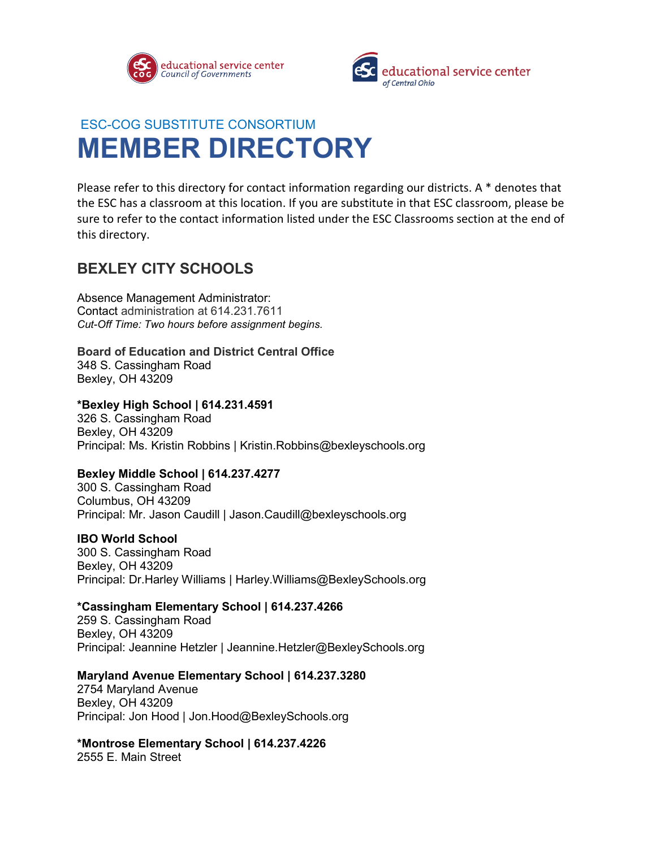



# ESC-COG SUBSTITUTE CONSORTIUM **MEMBER DIRECTORY**

Please refer to this directory for contact information regarding our districts. A \* denotes that the ESC has a classroom at this location. If you are substitute in that ESC classroom, please be sure to refer to the contact information listed under the ESC Classrooms section at the end of this directory.

## **BEXLEY CITY SCHOOLS**

Absence Management Administrator: Contact administration at 614.231.7611 *Cut-Off Time: Two hours before assignment begins.* 

## **Board of Education and District Central Office**

348 S. Cassingham Road Bexley, OH 43209

## **\*Bexley High School | 614.231.4591**

326 S. Cassingham Road Bexley, OH 43209 Principal: Ms. Kristin Robbins | Kristin.Robbins@bexleyschools.org

## **Bexley Middle School | 614.237.4277**

300 S. Cassingham Road Columbus, OH 43209 Principal: Mr. Jason Caudill | Jason.Caudill@bexleyschools.org

## **IBO World School**

300 S. Cassingham Road Bexley, OH 43209 Principal: Dr.Harley Williams | Harley.Williams@BexleySchools.org

## **\*Cassingham Elementary School | 614.237.4266**

259 S. Cassingham Road Bexley, OH 43209 Principal: Jeannine Hetzler | Jeannine.Hetzler@BexleySchools.org

## **Maryland Avenue Elementary School | 614.237.3280**

2754 Maryland Avenue Bexley, OH 43209 Principal: Jon Hood | Jon.Hood@BexleySchools.org

## **\*Montrose Elementary School | 614.237.4226**

2555 E. Main Street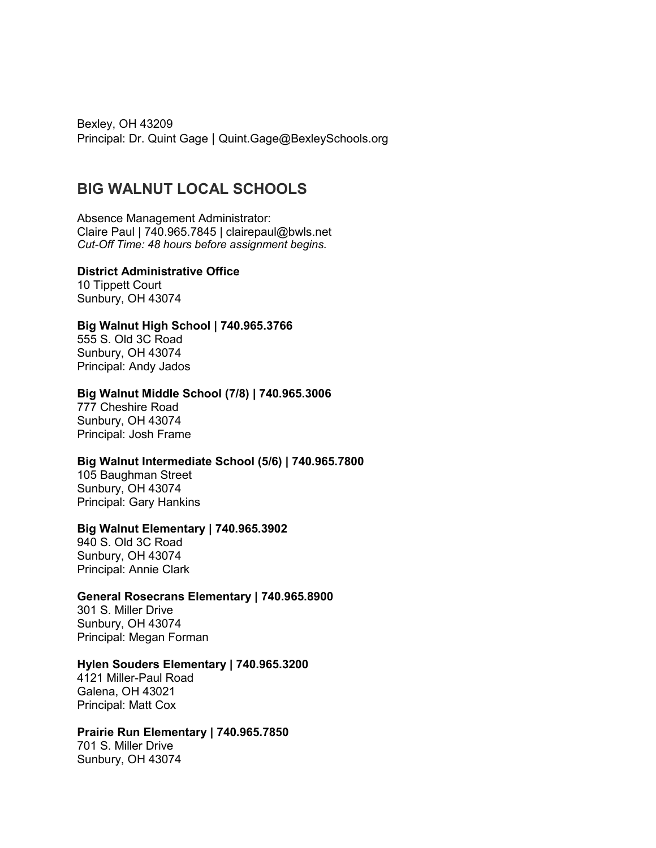Bexley, OH 43209 Principal: Dr. Quint Gage | Quint.Gage@BexleySchools.org

## **BIG WALNUT LOCAL SCHOOLS**

Absence Management Administrator: Claire Paul | 740.965.7845 | clairepaul@bwls.net *Cut-Off Time: 48 hours before assignment begins.* 

**District Administrative Office** 10 Tippett Court

Sunbury, OH 43074

### **Big Walnut High School | 740.965.3766**

555 S. Old 3C Road Sunbury, OH 43074 Principal: Andy Jados

### **Big Walnut Middle School (7/8) | 740.965.3006**

777 Cheshire Road Sunbury, OH 43074 Principal: Josh Frame

### **Big Walnut Intermediate School (5/6) | 740.965.7800**

105 Baughman Street Sunbury, OH 43074 Principal: Gary Hankins

## **Big Walnut Elementary | 740.965.3902**

940 S. Old 3C Road Sunbury, OH 43074 Principal: Annie Clark

## **General Rosecrans Elementary | 740.965.8900**

301 S. Miller Drive Sunbury, OH 43074 Principal: Megan Forman

### **Hylen Souders Elementary | 740.965.3200**

4121 Miller-Paul Road Galena, OH 43021 Principal: Matt Cox

## **Prairie Run Elementary | 740.965.7850**

701 S. Miller Drive Sunbury, OH 43074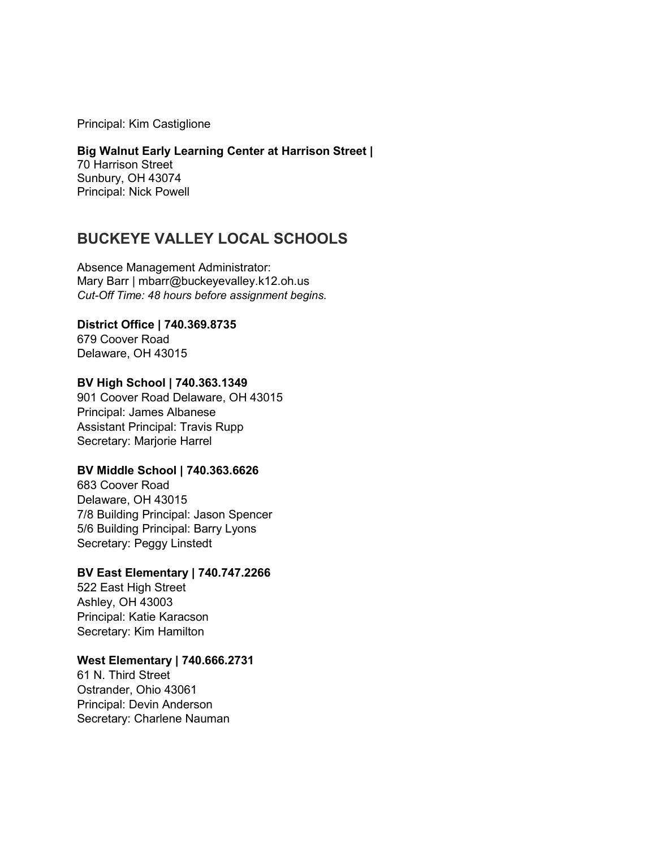Principal: Kim Castiglione

### **Big Walnut Early Learning Center at Harrison Street |** 70 Harrison Street Sunbury, OH 43074

Principal: Nick Powell

## **BUCKEYE VALLEY LOCAL SCHOOLS**

Absence Management Administrator: Mary Barr | mbarr@buckeyevalley.k12.oh.us *Cut-Off Time: 48 hours before assignment begins.* 

### **District Office | 740.369.8735** 679 Coover Road

Delaware, OH 43015

## **BV High School | 740.363.1349**

901 Coover Road Delaware, OH 43015 Principal: James Albanese Assistant Principal: Travis Rupp Secretary: Marjorie Harrel

## **BV Middle School | 740.363.6626**

683 Coover Road Delaware, OH 43015 7/8 Building Principal: Jason Spencer 5/6 Building Principal: Barry Lyons Secretary: Peggy Linstedt

## **BV East Elementary | 740.747.2266**

522 East High Street Ashley, OH 43003 Principal: Katie Karacson Secretary: Kim Hamilton

## **West Elementary | 740.666.2731**

61 N. Third Street Ostrander, Ohio 43061 Principal: Devin Anderson Secretary: Charlene Nauman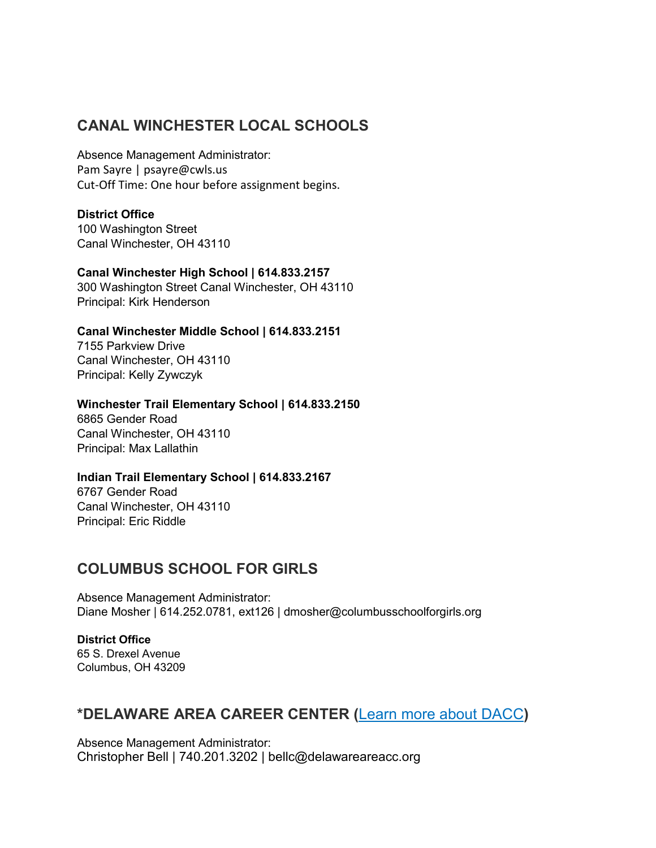## **CANAL WINCHESTER LOCAL SCHOOLS**

Absence Management Administrator: Pam Sayre | psayre@cwls.us Cut-Off Time: One hour before assignment begins.

## **District Office**

100 Washington Street Canal Winchester, OH 43110

## **Canal Winchester High School | 614.833.2157**

300 Washington Street Canal Winchester, OH 43110 Principal: Kirk Henderson

## **Canal Winchester Middle School | 614.833.2151**

7155 Parkview Drive Canal Winchester, OH 43110 Principal: Kelly Zywczyk

## **Winchester Trail Elementary School | 614.833.2150**

6865 Gender Road Canal Winchester, OH 43110 Principal: Max Lallathin

## **Indian Trail Elementary School | 614.833.2167**

6767 Gender Road Canal Winchester, OH 43110 Principal: Eric Riddle

## **COLUMBUS SCHOOL FOR GIRLS**

Absence Management Administrator: Diane Mosher | 614.252.0781, ext126 | dmosher@columbusschoolforgirls.org

**District Office** 65 S. Drexel Avenue Columbus, OH 43209

## **\*DELAWARE AREA CAREER CENTER (**[Learn more about DACC](https://www.escco.org/Downloads/Substitute%20Teaching%20at%20DACC.pdf)**)**

Absence Management Administrator: Christopher Bell | 740.201.3202 | bellc@delawareareacc.org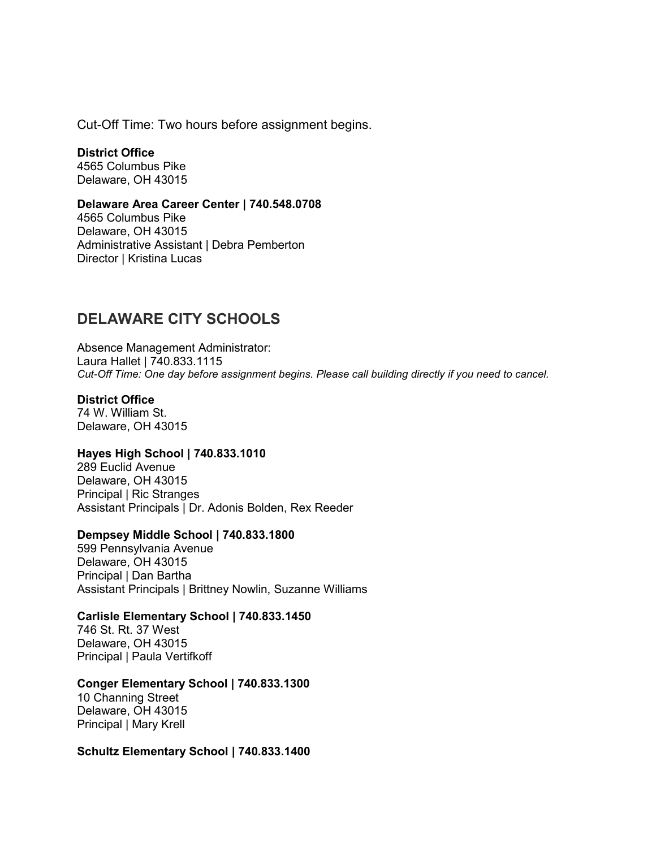Cut-Off Time: Two hours before assignment begins.

**District Office** 4565 Columbus Pike Delaware, OH 43015

### **Delaware Area Career Center | 740.548.0708**

4565 Columbus Pike Delaware, OH 43015 Administrative Assistant | Debra Pemberton Director | Kristina Lucas

## **DELAWARE CITY SCHOOLS**

Absence Management Administrator: Laura Hallet | 740.833.1115 *Cut-Off Time: One day before assignment begins. Please call building directly if you need to cancel.*

### **District Office**

74 W. William St. Delaware, OH 43015

## **Hayes High School | 740.833.1010**

289 Euclid Avenue Delaware, OH 43015 Principal | Ric Stranges Assistant Principals | Dr. Adonis Bolden, Rex Reeder

### **Dempsey Middle School | 740.833.1800**

599 Pennsylvania Avenue Delaware, OH 43015 Principal | Dan Bartha Assistant Principals | Brittney Nowlin, Suzanne Williams

### **Carlisle Elementary School | 740.833.1450**

746 St. Rt. 37 West Delaware, OH 43015 Principal | Paula Vertifkoff

### **Conger Elementary School | 740.833.1300**

10 Channing Street Delaware, OH 43015 Principal | Mary Krell

#### **Schultz Elementary School | 740.833.1400**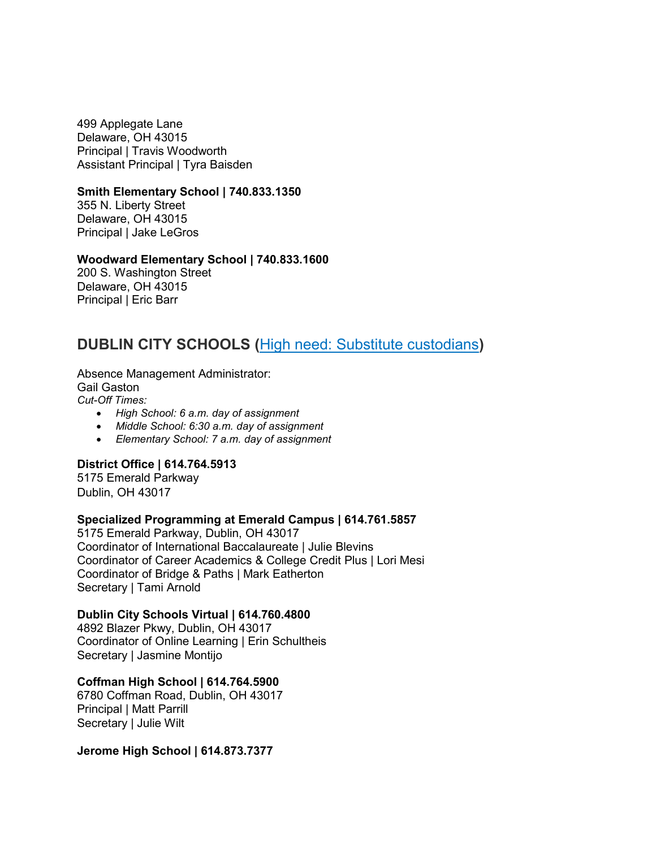499 Applegate Lane Delaware, OH 43015 Principal | Travis Woodworth Assistant Principal | Tyra Baisden

### **Smith Elementary School | 740.833.1350**

355 N. Liberty Street Delaware, OH 43015 Principal | Jake LeGros

### **Woodward Elementary School | 740.833.1600**

200 S. Washington Street Delaware, OH 43015 Principal | Eric Barr

## **DUBLIN CITY SCHOOLS (**[High need: Substitute custodians](https://www.dublinschools.net/Page/1107)**)**

Absence Management Administrator: Gail Gaston *Cut-Off Times:* 

- *High School: 6 a.m. day of assignment*
- *Middle School: 6:30 a.m. day of assignment*
- *Elementary School: 7 a.m. day of assignment*

### **District Office | 614.764.5913**

5175 Emerald Parkway Dublin, OH 43017

### **Specialized Programming at Emerald Campus | 614.761.5857**

5175 Emerald Parkway, Dublin, OH 43017 Coordinator of International Baccalaureate | Julie Blevins Coordinator of Career Academics & College Credit Plus | Lori Mesi Coordinator of Bridge & Paths | Mark Eatherton Secretary | Tami Arnold

### **Dublin City Schools Virtual | 614.760.4800**

4892 Blazer Pkwy, Dublin, OH 43017 Coordinator of Online Learning | Erin Schultheis Secretary | Jasmine Montijo

### **Coffman High School | 614.764.5900**

6780 Coffman Road, Dublin, OH 43017 Principal | Matt Parrill Secretary | Julie Wilt

#### **Jerome High School | 614.873.7377**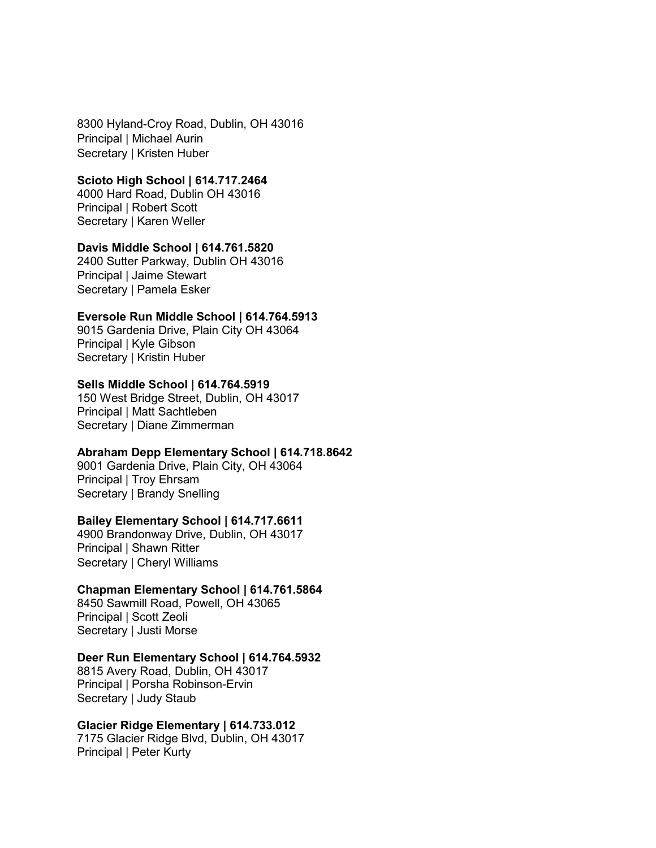8300 Hyland-Croy Road, Dublin, OH 43016 Principal | Michael Aurin Secretary | Kristen Huber

### **Scioto High School | 614.717.2464**

4000 Hard Road, Dublin OH 43016 Principal | Robert Scott Secretary | Karen Weller

#### **Davis Middle School | 614.761.5820**

2400 Sutter Parkway, Dublin OH 43016 Principal | Jaime Stewart Secretary | Pamela Esker

### **Eversole Run Middle School | 614.764.5913**

9015 Gardenia Drive, Plain City OH 43064 Principal | Kyle Gibson Secretary | Kristin Huber

### **Sells Middle School | 614.764.5919**

150 West Bridge Street, Dublin, OH 43017 Principal | Matt Sachtleben Secretary | Diane Zimmerman

### **Abraham Depp Elementary School | 614.718.8642**

9001 Gardenia Drive, Plain City, OH 43064 Principal | Troy Ehrsam Secretary | Brandy Snelling

### **Bailey Elementary School | 614.717.6611**

4900 Brandonway Drive, Dublin, OH 43017 Principal | Shawn Ritter Secretary | Cheryl Williams

### **Chapman Elementary School | 614.761.5864**

8450 Sawmill Road, Powell, OH 43065 Principal | Scott Zeoli Secretary | Justi Morse

#### **Deer Run Elementary School | 614.764.5932**

8815 Avery Road, Dublin, OH 43017 Principal | Porsha Robinson-Ervin Secretary | Judy Staub

### **Glacier Ridge Elementary | 614.733.012**

7175 Glacier Ridge Blvd, Dublin, OH 43017 Principal | Peter Kurty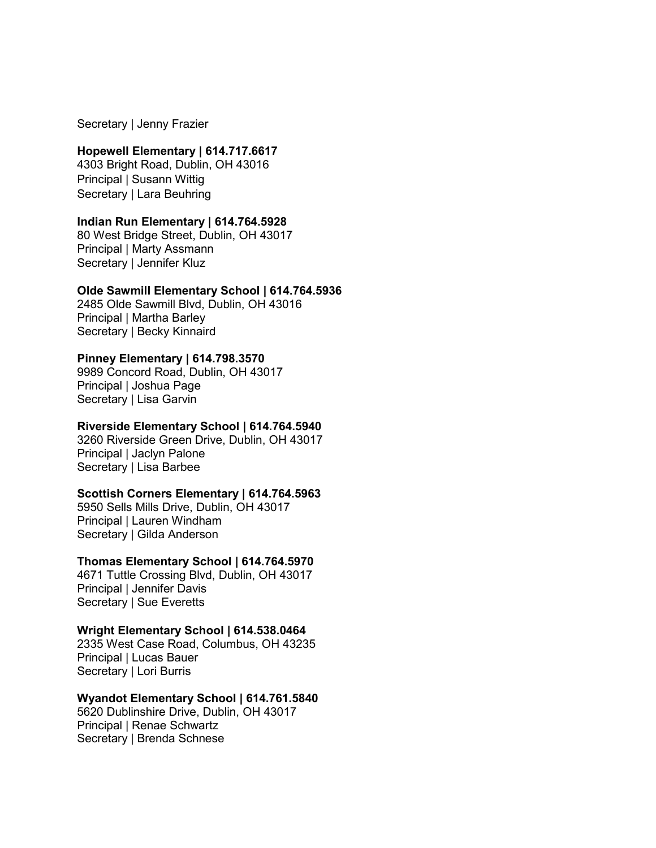Secretary | Jenny Frazier

### **Hopewell Elementary | 614.717.6617**

4303 Bright Road, Dublin, OH 43016 Principal | Susann Wittig Secretary | Lara Beuhring

### **Indian Run Elementary | 614.764.5928**

80 West Bridge Street, Dublin, OH 43017 Principal | Marty Assmann Secretary | Jennifer Kluz

### **Olde Sawmill Elementary School | 614.764.5936**

2485 Olde Sawmill Blvd, Dublin, OH 43016 Principal | Martha Barley Secretary | Becky Kinnaird

### **Pinney Elementary | 614.798.3570**

9989 Concord Road, Dublin, OH 43017 Principal | Joshua Page Secretary | Lisa Garvin

### **Riverside Elementary School | 614.764.5940**

3260 Riverside Green Drive, Dublin, OH 43017 Principal | Jaclyn Palone Secretary | Lisa Barbee

### **Scottish Corners Elementary | 614.764.5963**

5950 Sells Mills Drive, Dublin, OH 43017 Principal | Lauren Windham Secretary | Gilda Anderson

### **Thomas Elementary School | 614.764.5970**

4671 Tuttle Crossing Blvd, Dublin, OH 43017 Principal | Jennifer Davis Secretary | Sue Everetts

### **Wright Elementary School | 614.538.0464**

2335 West Case Road, Columbus, OH 43235 Principal | Lucas Bauer Secretary | Lori Burris

### **Wyandot Elementary School | 614.761.5840**

5620 Dublinshire Drive, Dublin, OH 43017 Principal | Renae Schwartz Secretary | Brenda Schnese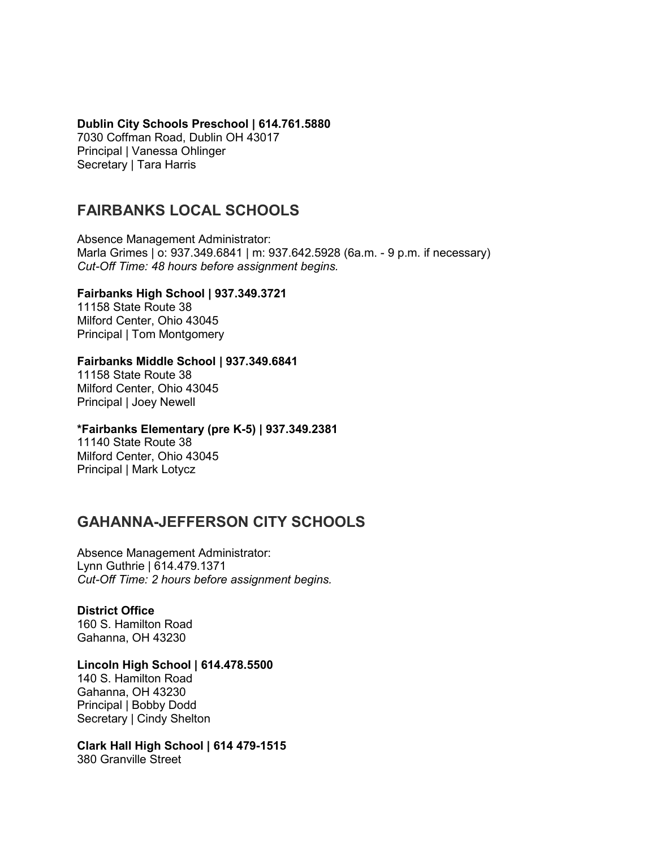### **Dublin City Schools Preschool | 614.761.5880**

7030 Coffman Road, Dublin OH 43017 Principal | Vanessa Ohlinger Secretary | Tara Harris

## **FAIRBANKS LOCAL SCHOOLS**

Absence Management Administrator: Marla Grimes | o: 937.349.6841 | m: 937.642.5928 (6a.m. - 9 p.m. if necessary) *Cut-Off Time: 48 hours before assignment begins.* 

## **Fairbanks High School | 937.349.3721**

11158 State Route 38 Milford Center, Ohio 43045 Principal | Tom Montgomery

### **Fairbanks Middle School | 937.349.6841**

11158 State Route 38 Milford Center, Ohio 43045 Principal | Joey Newell

### **\*Fairbanks Elementary (pre K-5) | 937.349.2381**

11140 State Route 38 Milford Center, Ohio 43045 Principal | Mark Lotycz

## **GAHANNA-JEFFERSON CITY SCHOOLS**

Absence Management Administrator: Lynn Guthrie | 614.479.1371 *Cut-Off Time: 2 hours before assignment begins.* 

## **District Office**

160 S. Hamilton Road Gahanna, OH 43230

### **Lincoln High School | 614.478.5500**

140 S. Hamilton Road Gahanna, OH 43230 Principal | Bobby Dodd Secretary | Cindy Shelton

**Clark Hall High School | 614 479-1515** 380 Granville Street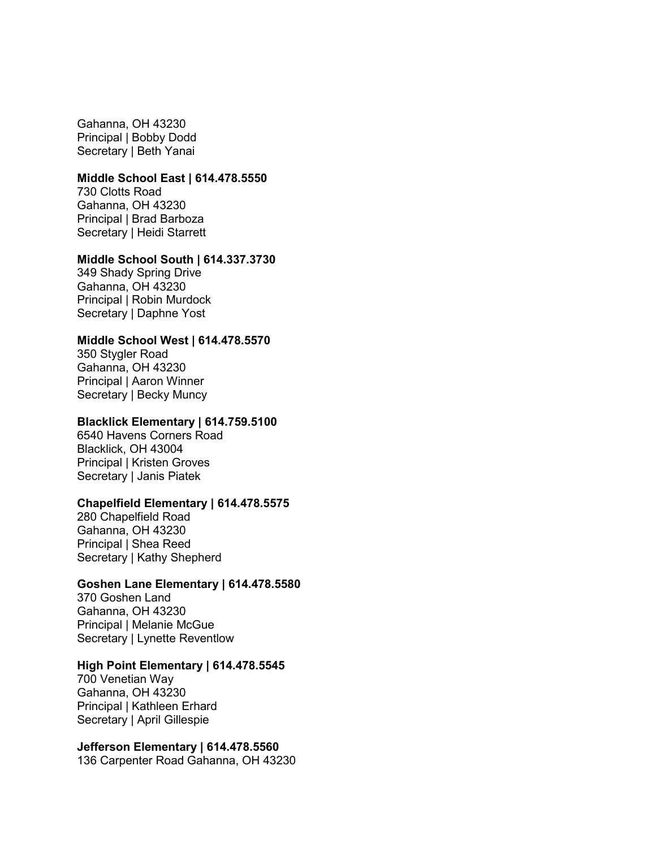Gahanna, OH 43230 Principal | Bobby Dodd Secretary | Beth Yanai

### **Middle School East | 614.478.5550**

730 Clotts Road Gahanna, OH 43230 Principal | Brad Barboza Secretary | Heidi Starrett

### **Middle School South | 614.337.3730**

349 Shady Spring Drive Gahanna, OH 43230 Principal | Robin Murdock Secretary | Daphne Yost

### **Middle School West | 614.478.5570**

350 Stygler Road Gahanna, OH 43230 Principal | Aaron Winner Secretary | Becky Muncy

#### **Blacklick Elementary | 614.759.5100**

6540 Havens Corners Road Blacklick, OH 43004 Principal | Kristen Groves Secretary | Janis Piatek

#### **Chapelfield Elementary | 614.478.5575**

280 Chapelfield Road Gahanna, OH 43230 Principal | Shea Reed Secretary | Kathy Shepherd

### **Goshen Lane Elementary | 614.478.5580**

370 Goshen Land Gahanna, OH 43230 Principal | Melanie McGue Secretary | Lynette Reventlow

### **High Point Elementary | 614.478.5545**

700 Venetian Way Gahanna, OH 43230 Principal | Kathleen Erhard Secretary | April Gillespie

#### **Jefferson Elementary | 614.478.5560**

136 Carpenter Road Gahanna, OH 43230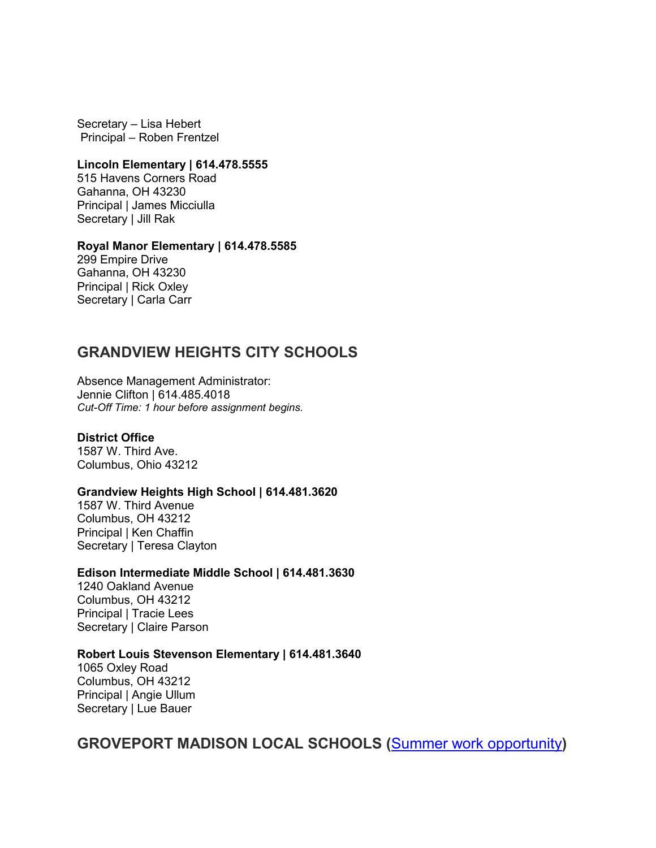Secretary – Lisa Hebert Principal – Roben Frentzel

### **Lincoln Elementary | 614.478.5555**

515 Havens Corners Road Gahanna, OH 43230 Principal | James Micciulla Secretary | Jill Rak

#### **Royal Manor Elementary | 614.478.5585**

299 Empire Drive Gahanna, OH 43230 Principal | Rick Oxley Secretary | Carla Carr

## **GRANDVIEW HEIGHTS CITY SCHOOLS**

Absence Management Administrator: Jennie Clifton | 614.485.4018 *Cut-Off Time: 1 hour before assignment begins.* 

### **District Office**

1587 W. Third Ave. Columbus, Ohio 43212

#### **Grandview Heights High School | 614.481.3620**

1587 W. Third Avenue Columbus, OH 43212 Principal | Ken Chaffin Secretary | Teresa Clayton

### **Edison Intermediate Middle School | 614.481.3630**

1240 Oakland Avenue Columbus, OH 43212 Principal | Tracie Lees Secretary | Claire Parson

### **Robert Louis Stevenson Elementary | 614.481.3640**

1065 Oxley Road Columbus, OH 43212 Principal | Angie Ullum Secretary | Lue Bauer

**GROVEPORT MADISON LOCAL SCHOOLS (**[Summer work opportunity](https://www.escco.org/Downloads/Cruiser%20Connect%20Certified%20032521.pdf)**)**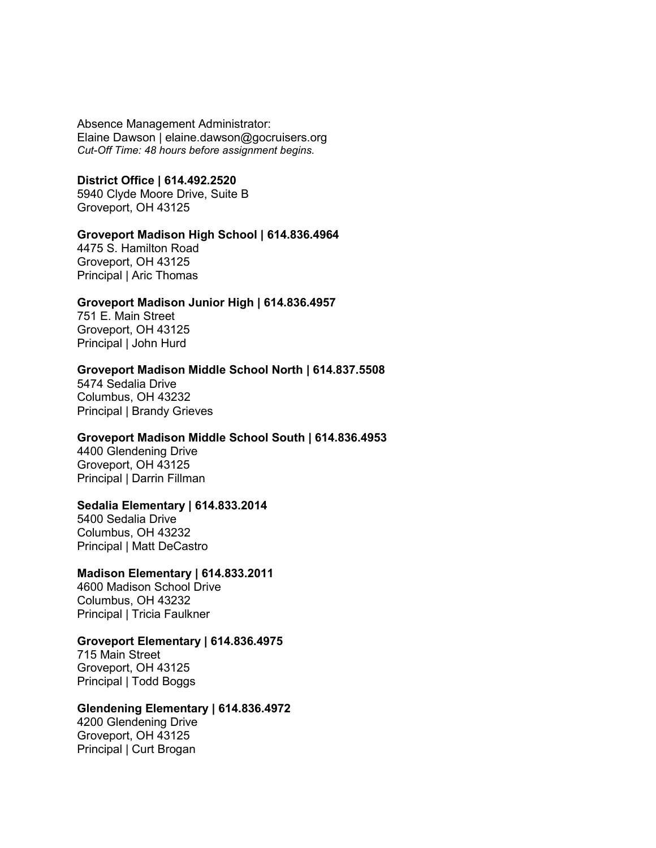Absence Management Administrator: Elaine Dawson | elaine.dawson@gocruisers.org *Cut-Off Time: 48 hours before assignment begins.* 

### **District Office | 614.492.2520**

5940 Clyde Moore Drive, Suite B Groveport, OH 43125

#### **Groveport Madison High School | 614.836.4964**

4475 S. Hamilton Road Groveport, OH 43125 Principal | Aric Thomas

### **Groveport Madison Junior High | 614.836.4957**

751 E. Main Street Groveport, OH 43125 Principal | John Hurd

### **Groveport Madison Middle School North | 614.837.5508**

5474 Sedalia Drive Columbus, OH 43232 Principal | Brandy Grieves

#### **Groveport Madison Middle School South | 614.836.4953**

4400 Glendening Drive Groveport, OH 43125 Principal | Darrin Fillman

### **Sedalia Elementary | 614.833.2014**

5400 Sedalia Drive Columbus, OH 43232 Principal | Matt DeCastro

### **Madison Elementary | 614.833.2011**

4600 Madison School Drive Columbus, OH 43232 Principal | Tricia Faulkner

### **Groveport Elementary | 614.836.4975**

715 Main Street Groveport, OH 43125 Principal | Todd Boggs

### **Glendening Elementary | 614.836.4972**

4200 Glendening Drive Groveport, OH 43125 Principal | Curt Brogan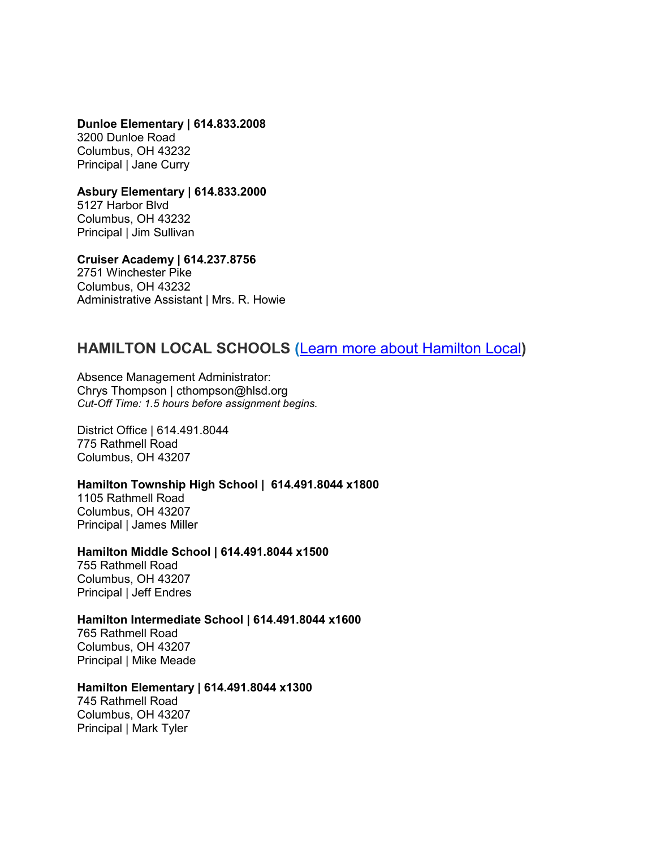**Dunloe Elementary | 614.833.2008**  3200 Dunloe Road Columbus, OH 43232 Principal | Jane Curry

**Asbury Elementary | 614.833.2000**  5127 Harbor Blvd

Columbus, OH 43232 Principal | Jim Sullivan

**Cruiser Academy | 614.237.8756**  2751 Winchester Pike Columbus, OH 43232 Administrative Assistant | Mrs. R. Howie

## **HAMILTON LOCAL SCHOOLS (**[Learn more about Hamilton Local](https://www.escco.org/Downloads/Hamilton%20Local%20Substitute%20Teacher%20Flyer_.pdf)**)**

Absence Management Administrator: Chrys Thompson | cthompson@hlsd.org *Cut-Off Time: 1.5 hours before assignment begins.* 

District Office | 614.491.8044 775 Rathmell Road Columbus, OH 43207

**Hamilton Township High School | 614.491.8044 x1800**

1105 Rathmell Road Columbus, OH 43207 Principal | James Miller

**Hamilton Middle School | 614.491.8044 x1500**

755 Rathmell Road Columbus, OH 43207 Principal | Jeff Endres

### **Hamilton Intermediate School | 614.491.8044 x1600**

765 Rathmell Road Columbus, OH 43207 Principal | Mike Meade

### **Hamilton Elementary | 614.491.8044 x1300**

745 Rathmell Road Columbus, OH 43207 Principal | Mark Tyler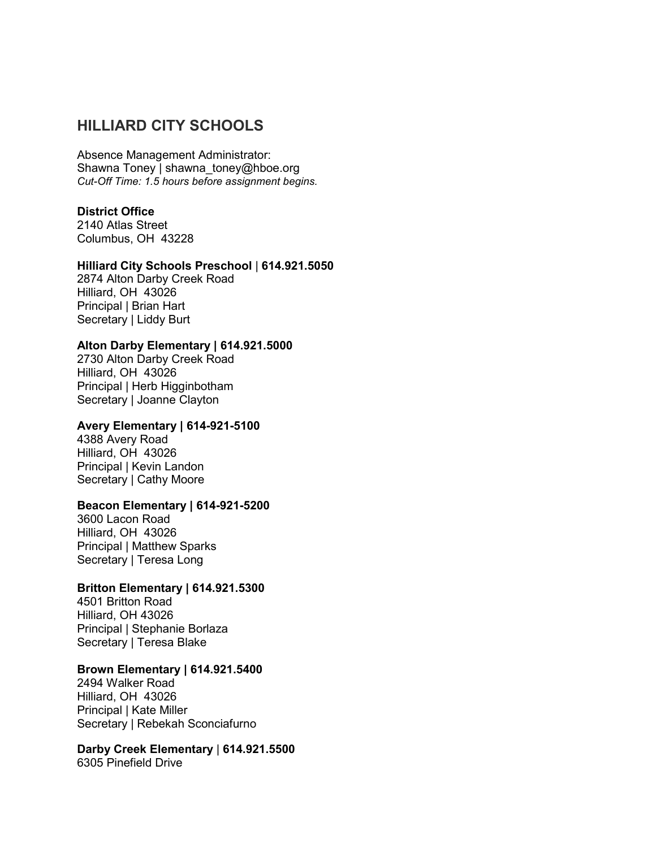## **HILLIARD CITY SCHOOLS**

Absence Management Administrator: Shawna Toney | shawna\_toney@hboe.org *Cut-Off Time: 1.5 hours before assignment begins.* 

### **District Office**

2140 Atlas Street Columbus, OH 43228

### **Hilliard City Schools Preschool** | **614.921.5050**

2874 Alton Darby Creek Road Hilliard, OH 43026 Principal | Brian Hart Secretary | Liddy Burt

### **Alton Darby Elementary | 614.921.5000**

2730 Alton Darby Creek Road Hilliard, OH 43026 Principal | Herb Higginbotham Secretary | Joanne Clayton

### **Avery Elementary | 614-921-5100**

4388 Avery Road Hilliard, OH 43026 Principal | Kevin Landon Secretary | Cathy Moore

### **Beacon Elementary | 614-921-5200**

3600 Lacon Road Hilliard, OH 43026 Principal | Matthew Sparks Secretary | Teresa Long

### **Britton Elementary | 614.921.5300**

4501 Britton Road Hilliard, OH 43026 Principal | Stephanie Borlaza Secretary | Teresa Blake

### **Brown Elementary | 614.921.5400**

2494 Walker Road Hilliard, OH 43026 Principal | Kate Miller Secretary | Rebekah Sconciafurno

**Darby Creek Elementary** | **614.921.5500** 6305 Pinefield Drive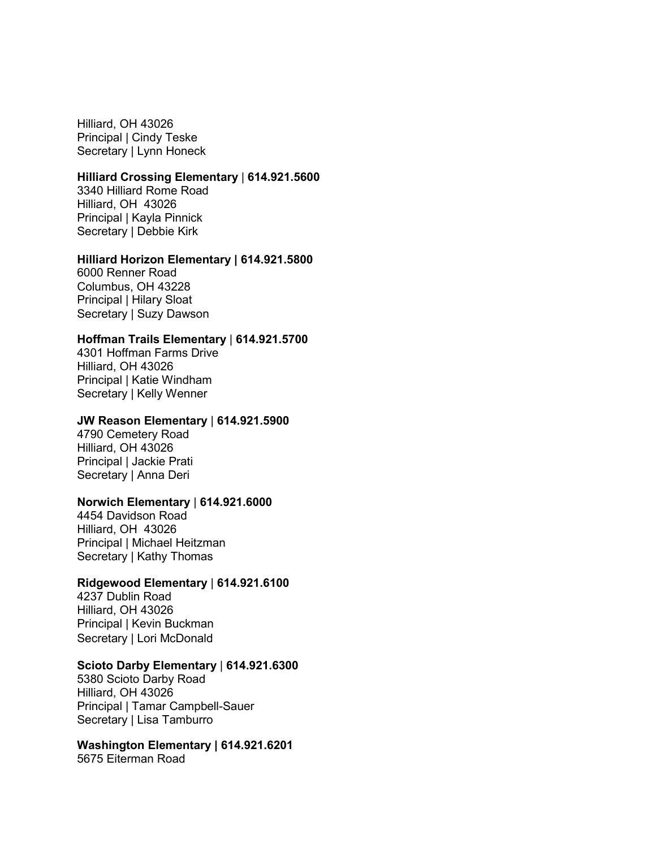Hilliard, OH 43026 Principal | Cindy Teske Secretary | Lynn Honeck

### **Hilliard Crossing Elementary** | **614.921.5600**

3340 Hilliard Rome Road Hilliard, OH 43026 Principal | Kayla Pinnick Secretary | Debbie Kirk

### **Hilliard Horizon Elementary | 614.921.5800**

6000 Renner Road Columbus, OH 43228 Principal | Hilary Sloat Secretary | Suzy Dawson

#### **Hoffman Trails Elementary** | **614.921.5700**

4301 Hoffman Farms Drive Hilliard, OH 43026 Principal | Katie Windham Secretary | Kelly Wenner

#### **JW Reason Elementary** | **614.921.5900**

4790 Cemetery Road Hilliard, OH 43026 Principal | Jackie Prati Secretary | Anna Deri

### **Norwich Elementary** | **614.921.6000**

4454 Davidson Road Hilliard, OH 43026 Principal | Michael Heitzman Secretary | Kathy Thomas

### **Ridgewood Elementary** | **614.921.6100**

4237 Dublin Road Hilliard, OH 43026 Principal | Kevin Buckman Secretary | Lori McDonald

### **Scioto Darby Elementary** | **614.921.6300**

5380 Scioto Darby Road Hilliard, OH 43026 Principal | Tamar Campbell-Sauer Secretary | Lisa Tamburro

## **Washington Elementary | 614.921.6201**

5675 Eiterman Road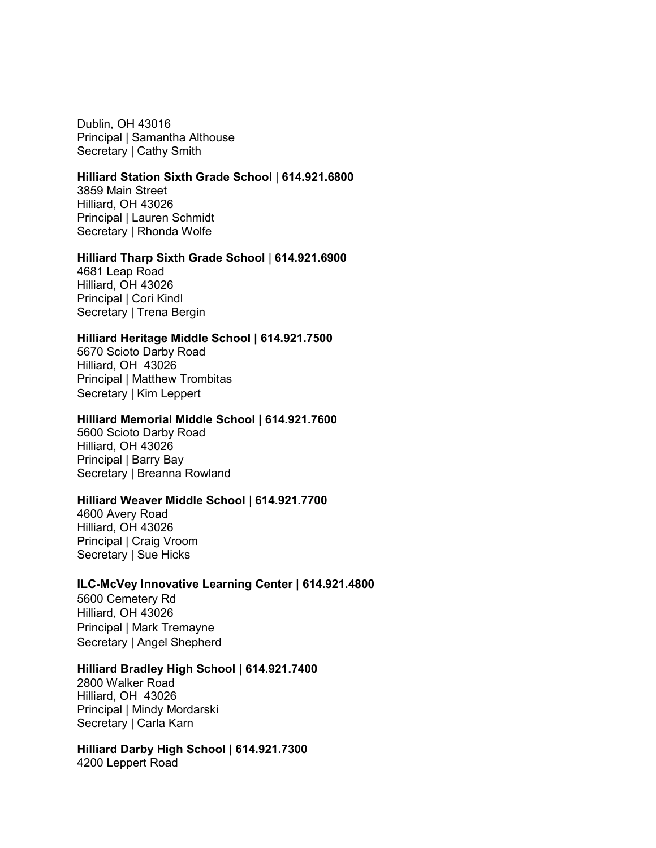Dublin, OH 43016 Principal | Samantha Althouse Secretary | Cathy Smith

### **Hilliard Station Sixth Grade School** | **614.921.6800**

3859 Main Street Hilliard, OH 43026 Principal | Lauren Schmidt Secretary | Rhonda Wolfe

### **Hilliard Tharp Sixth Grade School** | **614.921.6900**

4681 Leap Road Hilliard, OH 43026 Principal | Cori Kindl Secretary | Trena Bergin

### **Hilliard Heritage Middle School | 614.921.7500**

5670 Scioto Darby Road Hilliard, OH 43026 Principal | Matthew Trombitas Secretary | Kim Leppert

#### **Hilliard Memorial Middle School | 614.921.7600**

5600 Scioto Darby Road Hilliard, OH 43026 Principal | Barry Bay Secretary | Breanna Rowland

### **Hilliard Weaver Middle School** | **614.921.7700**

4600 Avery Road Hilliard, OH 43026 Principal | Craig Vroom Secretary | Sue Hicks

## **ILC-McVey Innovative Learning Center | 614.921.4800**

5600 Cemetery Rd Hilliard, OH 43026 Principal | Mark Tremayne Secretary | Angel Shepherd

### **Hilliard Bradley High School | 614.921.7400**

2800 Walker Road Hilliard, OH 43026 Principal | Mindy Mordarski Secretary | Carla Karn

## **Hilliard Darby High School** | **614.921.7300**

4200 Leppert Road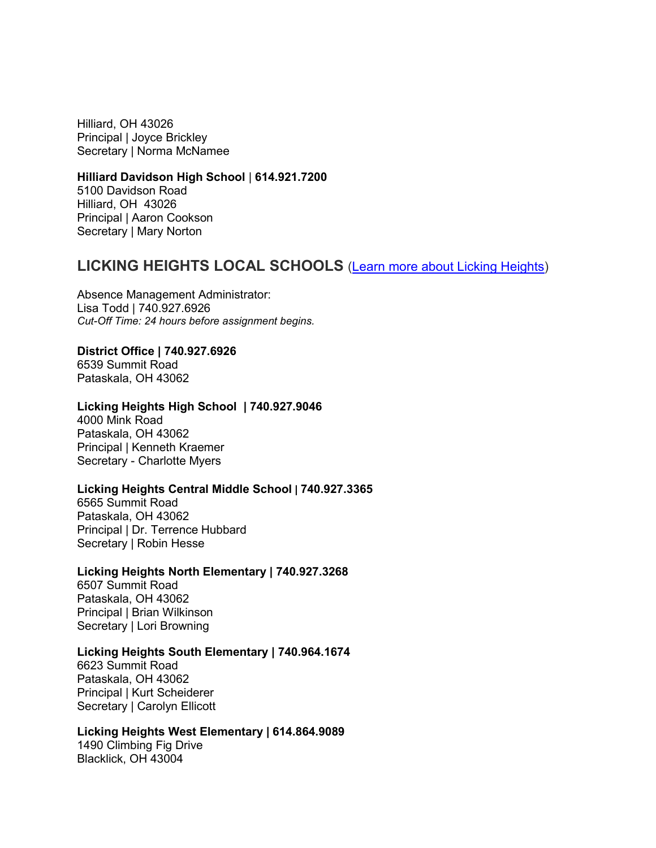Hilliard, OH 43026 Principal | Joyce Brickley Secretary | Norma McNamee

## **Hilliard Davidson High School** | **614.921.7200**

5100 Davidson Road Hilliard, OH 43026 Principal | Aaron Cookson Secretary | Mary Norton

## **LICKING HEIGHTS LOCAL SCHOOLS** [\(Learn more about Licking Heights\)](https://www.escco.org/Downloads/Substitute%20Teacher%20Recruitment%20Flyer2.jpg)

Absence Management Administrator: Lisa Todd | 740.927.6926 *Cut-Off Time: 24 hours before assignment begins.* 

### **District Office | 740.927.6926**

6539 Summit Road Pataskala, OH 43062

### **Licking Heights High School | 740.927.9046**

4000 Mink Road Pataskala, OH 43062 Principal | Kenneth Kraemer Secretary - Charlotte Myers

### **Licking Heights Central Middle School | 740.927.3365**

6565 Summit Road Pataskala, OH 43062 Principal | Dr. Terrence Hubbard Secretary | Robin Hesse

### **Licking Heights North Elementary | 740.927.3268**

6507 Summit Road Pataskala, OH 43062 Principal | Brian Wilkinson Secretary | Lori Browning

### **Licking Heights South Elementary | 740.964.1674**

6623 Summit Road Pataskala, OH 43062 Principal | Kurt Scheiderer Secretary | Carolyn Ellicott

### **Licking Heights West Elementary | 614.864.9089**

1490 Climbing Fig Drive Blacklick, OH 43004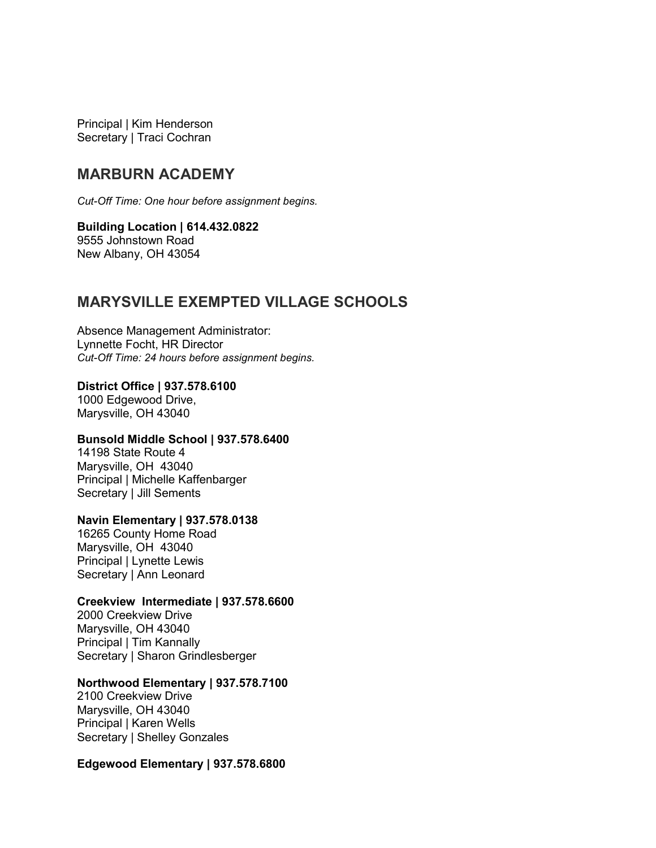Principal | Kim Henderson Secretary | Traci Cochran

## **MARBURN ACADEMY**

*Cut-Off Time: One hour before assignment begins.* 

## **Building Location | 614.432.0822** 9555 Johnstown Road

New Albany, OH 43054

## **MARYSVILLE EXEMPTED VILLAGE SCHOOLS**

Absence Management Administrator: Lynnette Focht, HR Director *Cut-Off Time: 24 hours before assignment begins.* 

**District Office | 937.578.6100** 1000 Edgewood Drive, Marysville, OH 43040

### **Bunsold Middle School | 937.578.6400**

14198 State Route 4 Marysville, OH 43040 Principal | Michelle Kaffenbarger Secretary | Jill Sements

### **Navin Elementary | 937.578.0138**

16265 County Home Road Marysville, OH 43040 Principal | Lynette Lewis Secretary | Ann Leonard

### **Creekview Intermediate | 937.578.6600**

2000 Creekview Drive Marysville, OH 43040 Principal | Tim Kannally Secretary | Sharon Grindlesberger

### **Northwood Elementary | 937.578.7100**

2100 Creekview Drive Marysville, OH 43040 Principal | Karen Wells Secretary | Shelley Gonzales

### **Edgewood Elementary | 937.578.6800**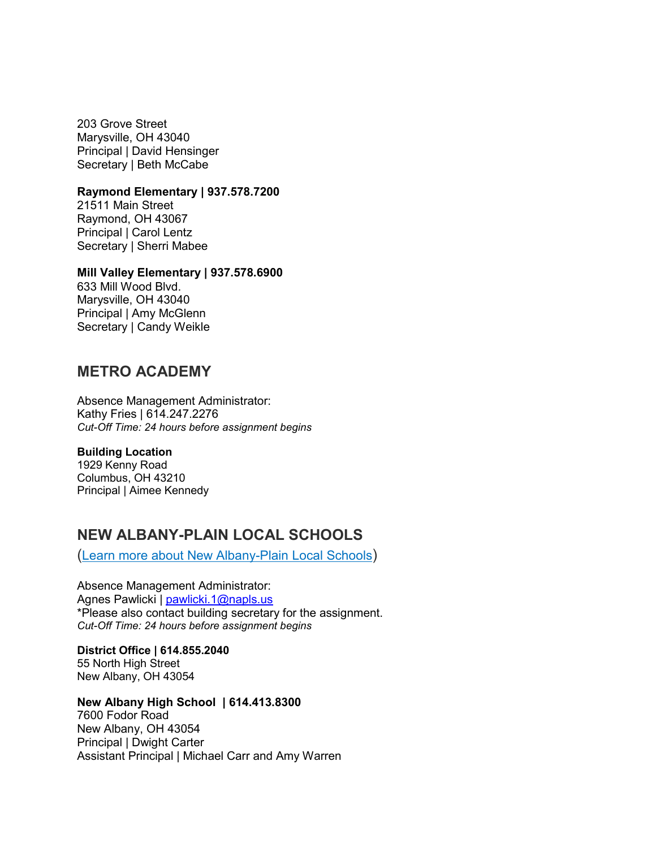203 Grove Street Marysville, OH 43040 Principal | David Hensinger Secretary | Beth McCabe

### **Raymond Elementary | 937.578.7200**

21511 Main Street Raymond, OH 43067 Principal | Carol Lentz Secretary | Sherri Mabee

### **Mill Valley Elementary | 937.578.6900**

633 Mill Wood Blvd. Marysville, OH 43040 Principal | Amy McGlenn Secretary | Candy Weikle

## **METRO ACADEMY**

Absence Management Administrator: Kathy Fries | 614.247.2276 *Cut-Off Time: 24 hours before assignment begins*

#### **Building Location**

1929 Kenny Road Columbus, OH 43210 Principal | Aimee Kennedy

## **NEW ALBANY-PLAIN LOCAL SCHOOLS**

[\(Learn more about New Albany-Plain Local Schools\)](https://www.escco.org/Downloads/New%20Albany%20HR%20Recruiting%20Subs%202020.pdf)

Absence Management Administrator: Agnes Pawlicki | [pawlicki.1@napls.us](mailto:pawlicki.1@napls.us) \*Please also contact building secretary for the assignment. *Cut-Off Time: 24 hours before assignment begins*

**District Office | 614.855.2040** 55 North High Street New Albany, OH 43054

**New Albany High School | 614.413.8300** 7600 Fodor Road New Albany, OH 43054 Principal | Dwight Carter Assistant Principal | Michael Carr and Amy Warren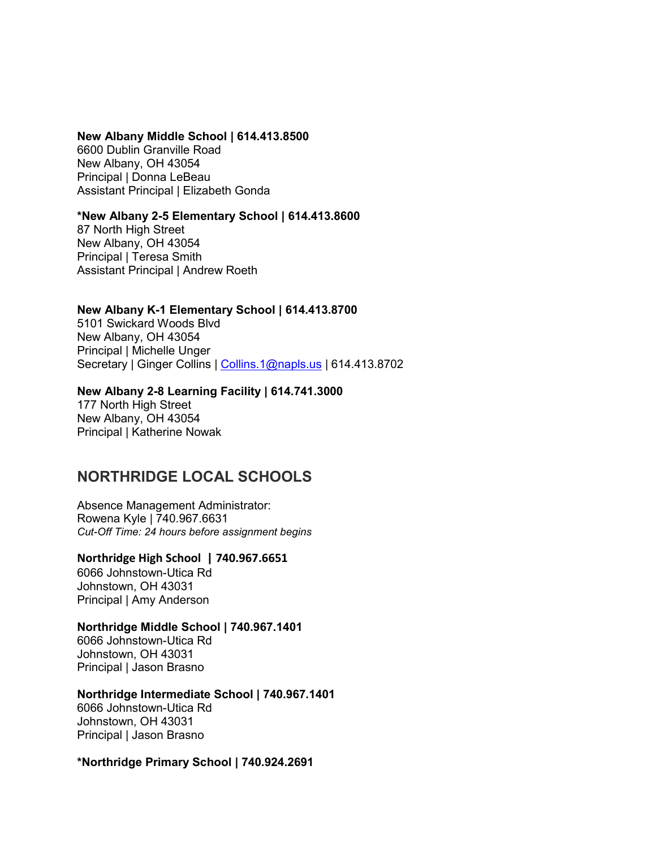### **New Albany Middle School | 614.413.8500**

6600 Dublin Granville Road New Albany, OH 43054 Principal | Donna LeBeau Assistant Principal | Elizabeth Gonda

### **\*New Albany 2-5 Elementary School | 614.413.8600**

87 North High Street New Albany, OH 43054 Principal | Teresa Smith Assistant Principal | Andrew Roeth

### **New Albany K-1 Elementary School | 614.413.8700**

5101 Swickard Woods Blvd New Albany, OH 43054 Principal | Michelle Unger Secretary | Ginger Collins | [Collins.1@napls.us](mailto:Collins.1@napls.us) | 614.413.8702

### **New Albany 2-8 Learning Facility | 614.741.3000**

177 North High Street New Albany, OH 43054 Principal | Katherine Nowak

## **NORTHRIDGE LOCAL SCHOOLS**

Absence Management Administrator: Rowena Kyle | 740.967.6631 *Cut-Off Time: 24 hours before assignment begins*

## **Northridge High School | 740.967.6651**

6066 Johnstown-Utica Rd Johnstown, OH 43031 Principal | Amy Anderson

### **Northridge Middle School | 740.967.1401**

6066 Johnstown-Utica Rd Johnstown, OH 43031 Principal | Jason Brasno

### **Northridge Intermediate School | 740.967.1401**

6066 Johnstown-Utica Rd Johnstown, OH 43031 Principal | Jason Brasno

### **\*Northridge Primary School | 740.924.2691**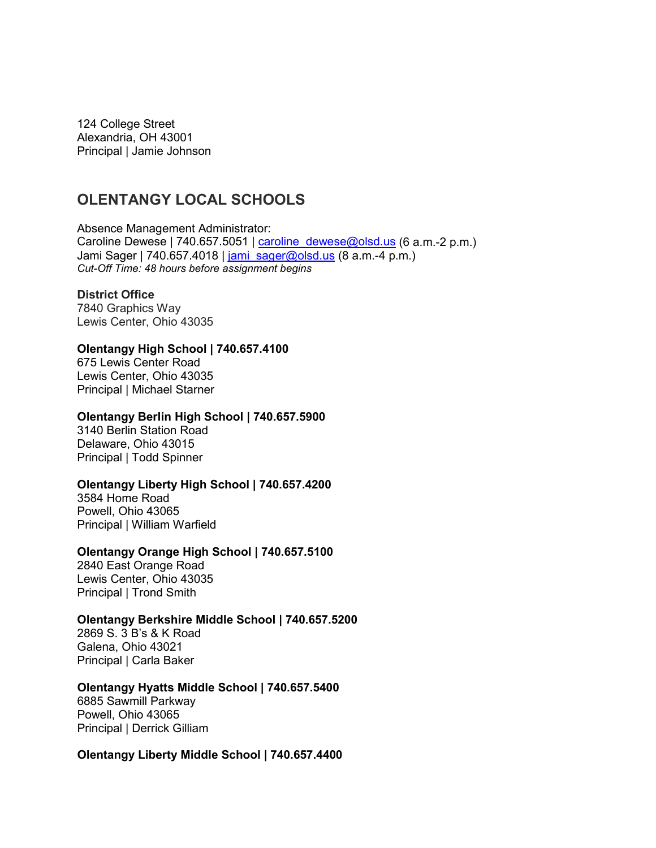124 College Street Alexandria, OH 43001 Principal | Jamie Johnson

## **OLENTANGY LOCAL SCHOOLS**

Absence Management Administrator: Caroline Dewese | 740.657.5051 | [caroline\\_dewese@olsd.us](mailto:caroline_dewese@olsd.us) (6 a.m.-2 p.m.) Jami Sager | 740.657.4018 | [jami\\_sager@olsd.us](mailto:jami_sager@olsd.us) (8 a.m.-4 p.m.) *Cut-Off Time: 48 hours before assignment begins*

## **District Office**

7840 Graphics Way Lewis Center, Ohio 43035

### **Olentangy High School | 740.657.4100**

675 Lewis Center Road Lewis Center, Ohio 43035 Principal | Michael Starner

### **Olentangy Berlin High School | 740.657.5900**

3140 Berlin Station Road Delaware, Ohio 43015 Principal | Todd Spinner

### **Olentangy Liberty High School | 740.657.4200**

3584 Home Road Powell, Ohio 43065 Principal | William Warfield

### **Olentangy Orange High School | 740.657.5100**

2840 East Orange Road Lewis Center, Ohio 43035 Principal | Trond Smith

### **Olentangy Berkshire Middle School | 740.657.5200**

2869 S. 3 B's & K Road Galena, Ohio 43021 Principal | Carla Baker

### **Olentangy Hyatts Middle School | 740.657.5400**

6885 Sawmill Parkway Powell, Ohio 43065 Principal | Derrick Gilliam

### **Olentangy Liberty Middle School | 740.657.4400**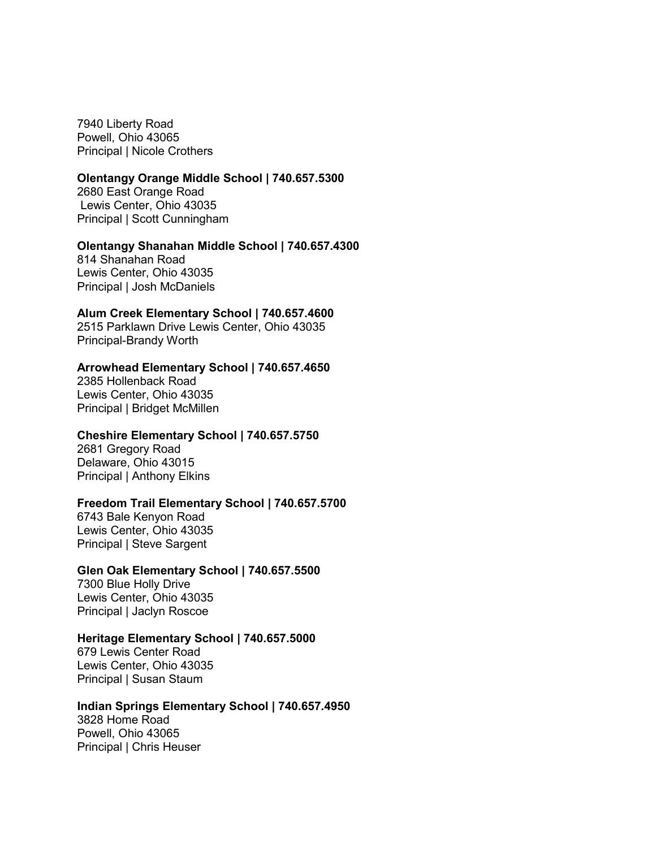7940 Liberty Road Powell, Ohio 43065 Principal | Nicole Crothers

### **Olentangy Orange Middle School | 740.657.5300**

2680 East Orange Road Lewis Center, Ohio 43035 Principal | Scott Cunningham

### **Olentangy Shanahan Middle School | 740.657.4300**

814 Shanahan Road Lewis Center, Ohio 43035 Principal | Josh McDaniels

### **Alum Creek Elementary School | 740.657.4600**

2515 Parklawn Drive Lewis Center, Ohio 43035 Principal-Brandy Worth

### **Arrowhead Elementary School | 740.657.4650**

2385 Hollenback Road Lewis Center, Ohio 43035 Principal | Bridget McMillen

### **Cheshire Elementary School | 740.657.5750**

2681 Gregory Road Delaware, Ohio 43015 Principal | Anthony Elkins

### **Freedom Trail Elementary School | 740.657.5700**

6743 Bale Kenyon Road Lewis Center, Ohio 43035 Principal | Steve Sargent

### **Glen Oak Elementary School | 740.657.5500**

7300 Blue Holly Drive Lewis Center, Ohio 43035 Principal | Jaclyn Roscoe

## **Heritage Elementary School | 740.657.5000**

679 Lewis Center Road Lewis Center, Ohio 43035 Principal | Susan Staum

## **Indian Springs Elementary School | 740.657.4950**

3828 Home Road Powell, Ohio 43065 Principal | Chris Heuser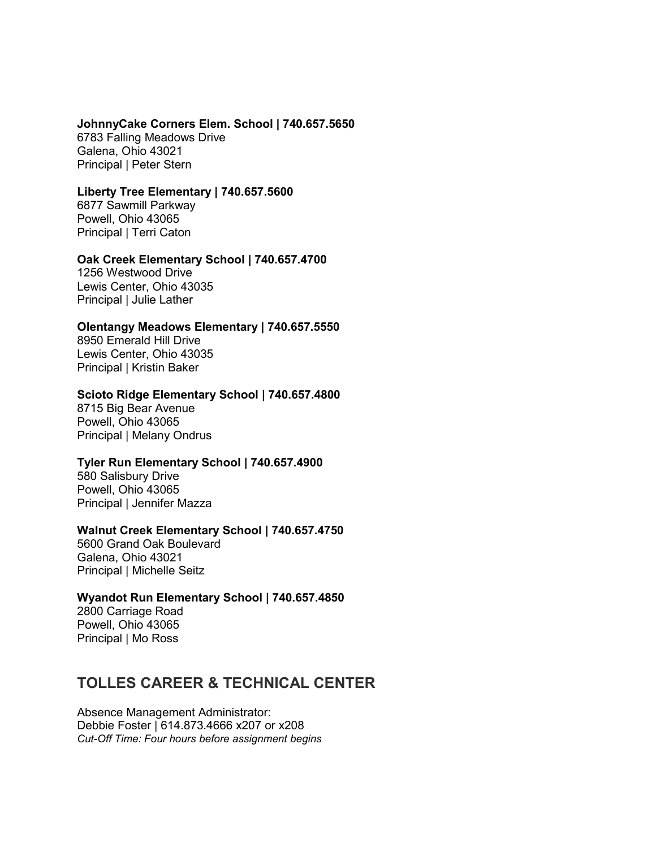## **JohnnyCake Corners Elem. School | 740.657.5650**  6783 Falling Meadows Drive

Galena, Ohio 43021 Principal | Peter Stern

## **Liberty Tree Elementary | 740.657.5600**

6877 Sawmill Parkway Powell, Ohio 43065 Principal | Terri Caton

### **Oak Creek Elementary School | 740.657.4700**

1256 Westwood Drive Lewis Center, Ohio 43035 Principal | Julie Lather

## **Olentangy Meadows Elementary | 740.657.5550**

8950 Emerald Hill Drive Lewis Center, Ohio 43035 Principal | Kristin Baker

### **Scioto Ridge Elementary School | 740.657.4800**

8715 Big Bear Avenue Powell, Ohio 43065 Principal | Melany Ondrus

## **Tyler Run Elementary School | 740.657.4900**

580 Salisbury Drive Powell, Ohio 43065 Principal | Jennifer Mazza

## **Walnut Creek Elementary School | 740.657.4750**

5600 Grand Oak Boulevard Galena, Ohio 43021 Principal | Michelle Seitz

## **Wyandot Run Elementary School | 740.657.4850**

2800 Carriage Road Powell, Ohio 43065 Principal | Mo Ross

## **TOLLES CAREER & TECHNICAL CENTER**

Absence Management Administrator: Debbie Foster | 614.873.4666 x207 or x208 *Cut-Off Time: Four hours before assignment begins*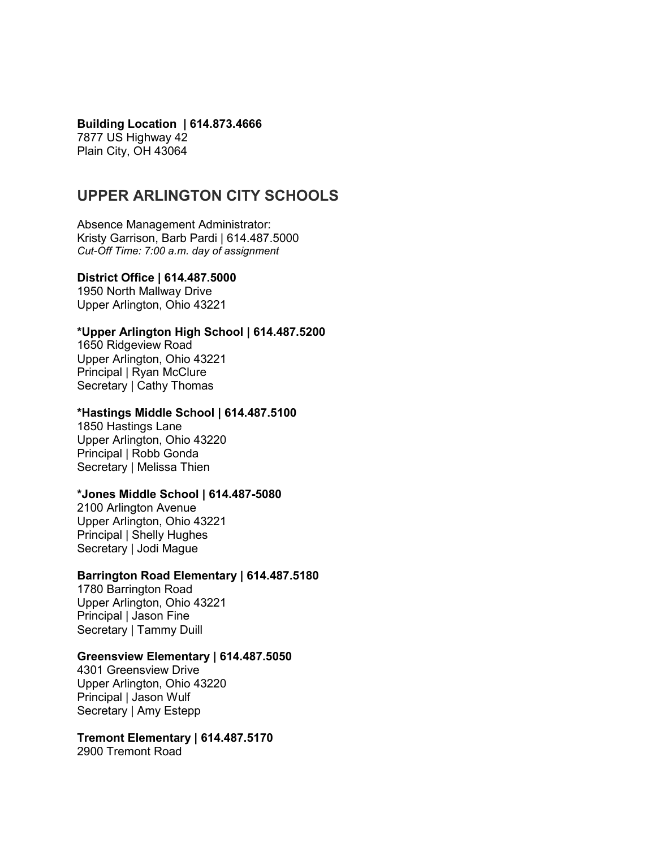**Building Location | 614.873.4666** 7877 US Highway 42 Plain City, OH 43064

## **UPPER ARLINGTON CITY SCHOOLS**

Absence Management Administrator: Kristy Garrison, Barb Pardi | 614.487.5000 *Cut-Off Time: 7:00 a.m. day of assignment*

### **District Office | 614.487.5000**

1950 North Mallway Drive Upper Arlington, Ohio 43221

### **\*Upper Arlington High School | 614.487.5200**

1650 Ridgeview Road Upper Arlington, Ohio 43221 Principal | Ryan McClure Secretary | Cathy Thomas

### **\*Hastings Middle School | 614.487.5100**

1850 Hastings Lane Upper Arlington, Ohio 43220 Principal | Robb Gonda Secretary | Melissa Thien

### **\*Jones Middle School | 614.487-5080**

2100 Arlington Avenue Upper Arlington, Ohio 43221 Principal | Shelly Hughes Secretary | Jodi Mague

### **Barrington Road Elementary | 614.487.5180**

1780 Barrington Road Upper Arlington, Ohio 43221 Principal | Jason Fine Secretary | Tammy Duill

### **Greensview Elementary | 614.487.5050**

4301 Greensview Drive Upper Arlington, Ohio 43220 Principal | Jason Wulf Secretary | Amy Estepp

**Tremont Elementary | 614.487.5170**  2900 Tremont Road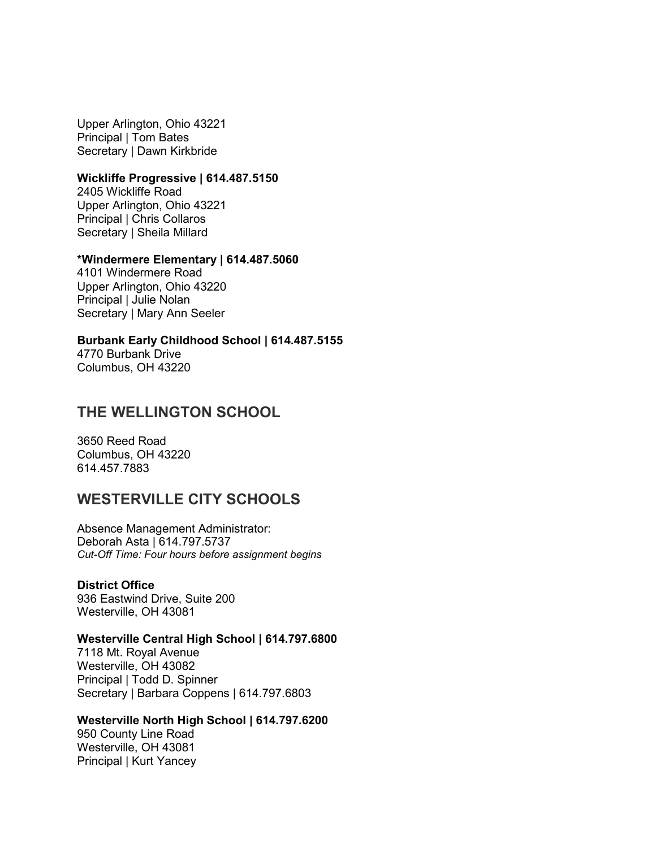Upper Arlington, Ohio 43221 Principal | Tom Bates Secretary | Dawn Kirkbride

### **Wickliffe Progressive | 614.487.5150**

2405 Wickliffe Road Upper Arlington, Ohio 43221 Principal | Chris Collaros Secretary | Sheila Millard

### **\*Windermere Elementary | 614.487.5060**

4101 Windermere Road Upper Arlington, Ohio 43220 Principal | Julie Nolan Secretary | Mary Ann Seeler

**Burbank Early Childhood School | 614.487.5155** 4770 Burbank Drive Columbus, OH 43220

## **THE WELLINGTON SCHOOL**

3650 Reed Road Columbus, OH 43220 614.457.7883

## **WESTERVILLE CITY SCHOOLS**

Absence Management Administrator: Deborah Asta | 614.797.5737 *Cut-Off Time: Four hours before assignment begins*

### **District Office**

936 Eastwind Drive, Suite 200 Westerville, OH 43081

### **Westerville Central High School | 614.797.6800**

7118 Mt. Royal Avenue Westerville, OH 43082 Principal | Todd D. Spinner Secretary | Barbara Coppens | 614.797.6803

### **Westerville North High School | 614.797.6200**

950 County Line Road Westerville, OH 43081 Principal | Kurt Yancey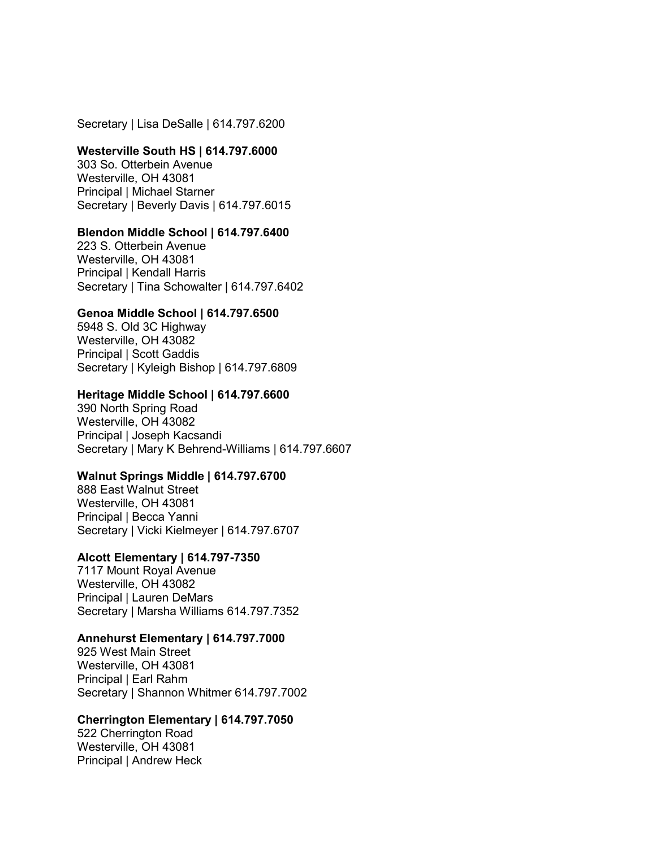Secretary | Lisa DeSalle | 614.797.6200

### **Westerville South HS | 614.797.6000**

303 So. Otterbein Avenue Westerville, OH 43081 Principal | Michael Starner Secretary | Beverly Davis | 614.797.6015

### **Blendon Middle School | 614.797.6400**

223 S. Otterbein Avenue Westerville, OH 43081 Principal | Kendall Harris Secretary | Tina Schowalter | 614.797.6402

### **Genoa Middle School | 614.797.6500**

5948 S. Old 3C Highway Westerville, OH 43082 Principal | Scott Gaddis Secretary | Kyleigh Bishop | 614.797.6809

### **Heritage Middle School | 614.797.6600**

390 North Spring Road Westerville, OH 43082 Principal | Joseph Kacsandi Secretary | Mary K Behrend-Williams | 614.797.6607

### **Walnut Springs Middle | 614.797.6700**

888 East Walnut Street Westerville, OH 43081 Principal | Becca Yanni Secretary | Vicki Kielmeyer | 614.797.6707

#### **Alcott Elementary | 614.797-7350**

7117 Mount Royal Avenue Westerville, OH 43082 Principal | Lauren DeMars Secretary | Marsha Williams 614.797.7352

### **Annehurst Elementary | 614.797.7000**

925 West Main Street Westerville, OH 43081 Principal | Earl Rahm Secretary | Shannon Whitmer 614.797.7002

### **Cherrington Elementary | 614.797.7050**

522 Cherrington Road Westerville, OH 43081 Principal | Andrew Heck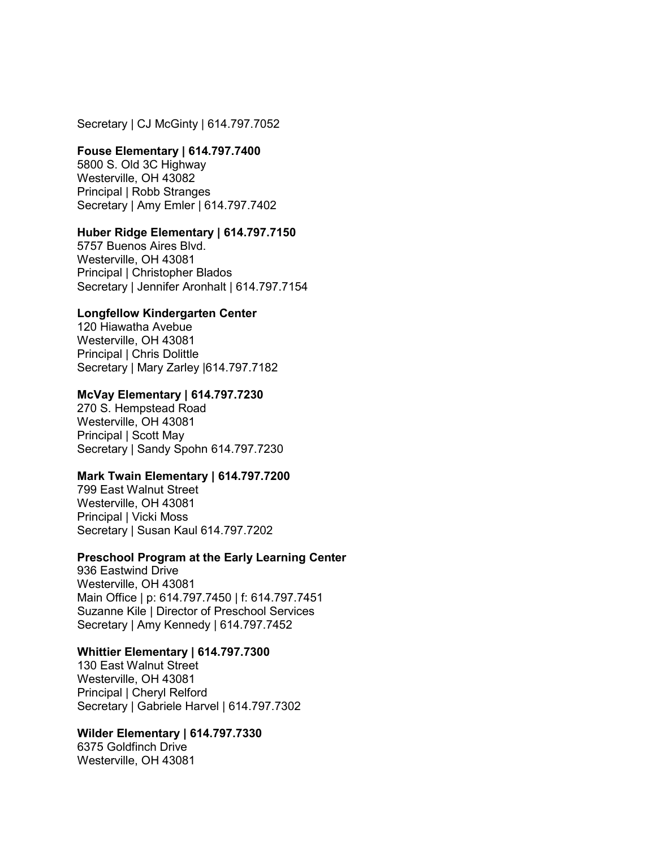Secretary | CJ McGinty | 614.797.7052

### **Fouse Elementary | 614.797.7400**

5800 S. Old 3C Highway Westerville, OH 43082 Principal | Robb Stranges Secretary | Amy Emler | 614.797.7402

### **Huber Ridge Elementary | 614.797.7150**

5757 Buenos Aires Blvd. Westerville, OH 43081 Principal | Christopher Blados Secretary | Jennifer Aronhalt | 614.797.7154

#### **Longfellow Kindergarten Center**

120 Hiawatha Avebue Westerville, OH 43081 Principal | Chris Dolittle Secretary | Mary Zarley |614.797.7182

### **McVay Elementary | 614.797.7230**

270 S. Hempstead Road Westerville, OH 43081 Principal | Scott May Secretary | Sandy Spohn 614.797.7230

### **Mark Twain Elementary | 614.797.7200**

799 East Walnut Street Westerville, OH 43081 Principal | Vicki Moss Secretary | Susan Kaul 614.797.7202

#### **Preschool Program at the Early Learning Center**

936 Eastwind Drive Westerville, OH 43081 Main Office | p: 614.797.7450 | f: 614.797.7451 Suzanne Kile | Director of Preschool Services Secretary | Amy Kennedy | 614.797.7452

#### **Whittier Elementary | 614.797.7300**

130 East Walnut Street Westerville, OH 43081 Principal | Cheryl Relford Secretary | Gabriele Harvel | 614.797.7302

### **Wilder Elementary | 614.797.7330**

6375 Goldfinch Drive Westerville, OH 43081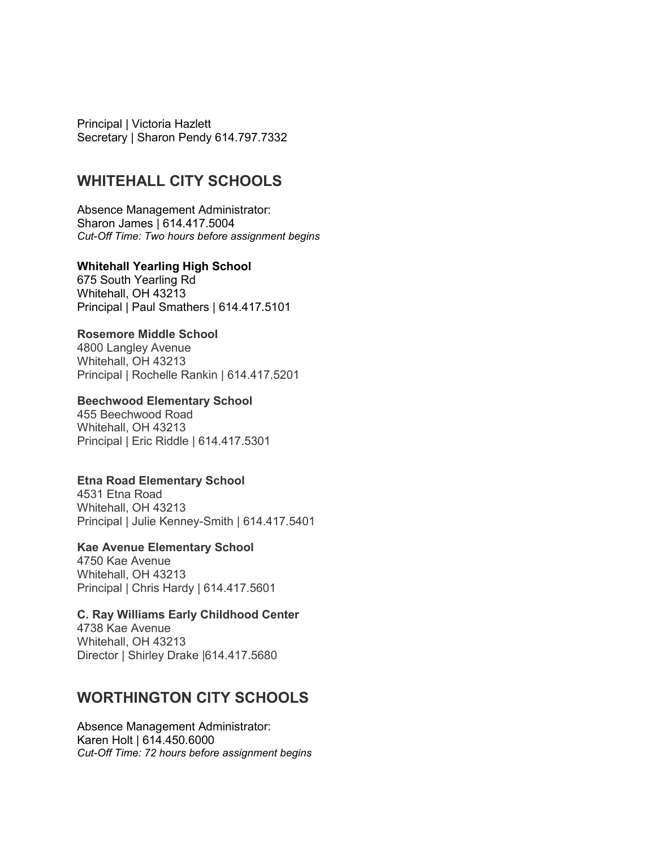Principal | Victoria Hazlett Secretary | Sharon Pendy 614.797.7332

## **WHITEHALL CITY SCHOOLS**

Absence Management Administrator: Sharon James | 614.417.5004 *Cut-Off Time: Two hours before assignment begins*

### **Whitehall Yearling High School**

675 South Yearling Rd Whitehall, OH 43213 Principal | Paul Smathers | 614.417.5101

### **Rosemore Middle School**

4800 Langley Avenue Whitehall, OH 43213 Principal | Rochelle Rankin | 614.417.5201

### **Beechwood Elementary School**

455 Beechwood Road Whitehall, OH 43213 Principal | Eric Riddle | 614.417.5301

## **Etna Road Elementary School**

4531 Etna Road Whitehall, OH 43213 Principal | Julie Kenney-Smith | 614.417.5401

## **Kae Avenue Elementary School**

4750 Kae Avenue Whitehall, OH 43213 Principal | Chris Hardy | 614.417.5601

## **C. Ray Williams Early Childhood Center**

4738 Kae Avenue Whitehall, OH 43213 Director | Shirley Drake |614.417.5680

## **WORTHINGTON CITY SCHOOLS**

Absence Management Administrator: Karen Holt | 614.450.6000 *Cut-Off Time: 72 hours before assignment begins*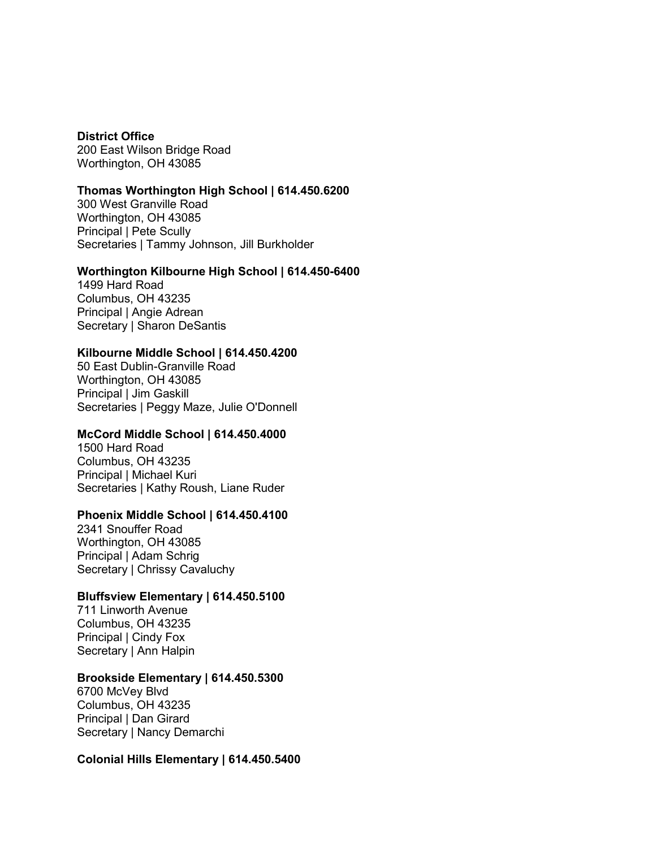**District Office** 200 East Wilson Bridge Road Worthington, OH 43085

### **Thomas Worthington High School | 614.450.6200**

300 West Granville Road Worthington, OH 43085 Principal | Pete Scully Secretaries | Tammy Johnson, Jill Burkholder

### **Worthington Kilbourne High School | 614.450-6400**

1499 Hard Road Columbus, OH 43235 Principal | Angie Adrean Secretary | Sharon DeSantis

### **Kilbourne Middle School | 614.450.4200**

50 East Dublin-Granville Road Worthington, OH 43085 Principal | Jim Gaskill Secretaries | Peggy Maze, Julie O'Donnell

### **McCord Middle School | 614.450.4000**

1500 Hard Road Columbus, OH 43235 Principal | Michael Kuri Secretaries | Kathy Roush, Liane Ruder

### **Phoenix Middle School | 614.450.4100**

2341 Snouffer Road Worthington, OH 43085 Principal | Adam Schrig Secretary | Chrissy Cavaluchy

### **Bluffsview Elementary | 614.450.5100**

711 Linworth Avenue Columbus, OH 43235 Principal | Cindy Fox Secretary | Ann Halpin

### **Brookside Elementary | 614.450.5300**

6700 McVey Blvd Columbus, OH 43235 Principal | Dan Girard Secretary | Nancy Demarchi

### **Colonial Hills Elementary | 614.450.5400**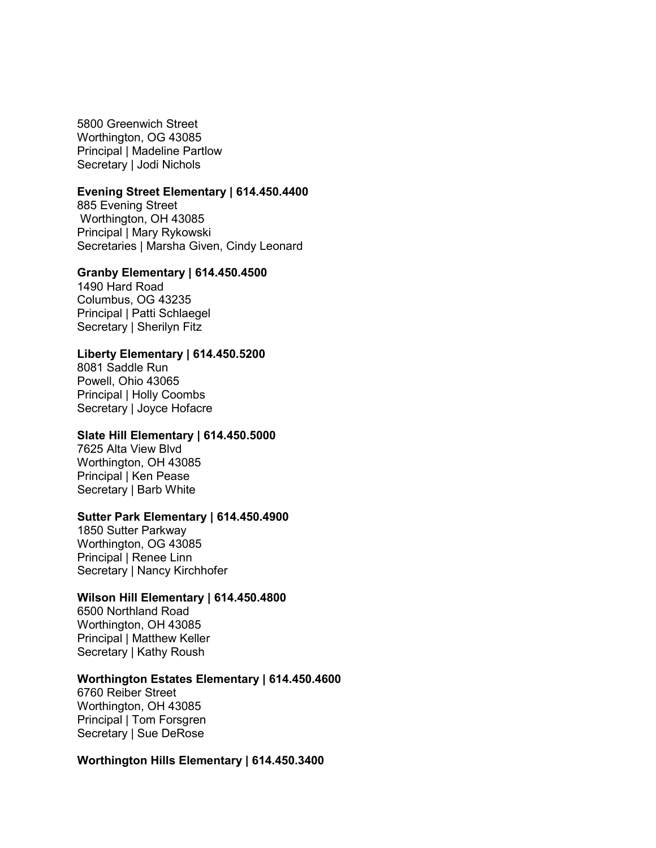5800 Greenwich Street Worthington, OG 43085 Principal | Madeline Partlow Secretary | Jodi Nichols

#### **Evening Street Elementary | 614.450.4400**

885 Evening Street Worthington, OH 43085 Principal | Mary Rykowski Secretaries | Marsha Given, Cindy Leonard

### **Granby Elementary | 614.450.4500**

1490 Hard Road Columbus, OG 43235 Principal | Patti Schlaegel Secretary | Sherilyn Fitz

### **Liberty Elementary | 614.450.5200**

8081 Saddle Run Powell, Ohio 43065 Principal | Holly Coombs Secretary | Joyce Hofacre

### **Slate Hill Elementary | 614.450.5000**

7625 Alta View Blvd Worthington, OH 43085 Principal | Ken Pease Secretary | Barb White

#### **Sutter Park Elementary | 614.450.4900**

1850 Sutter Parkway Worthington, OG 43085 Principal | Renee Linn Secretary | Nancy Kirchhofer

### **Wilson Hill Elementary | 614.450.4800**

6500 Northland Road Worthington, OH 43085 Principal | Matthew Keller Secretary | Kathy Roush

### **Worthington Estates Elementary | 614.450.4600**

6760 Reiber Street Worthington, OH 43085 Principal | Tom Forsgren Secretary | Sue DeRose

#### **Worthington Hills Elementary | 614.450.3400**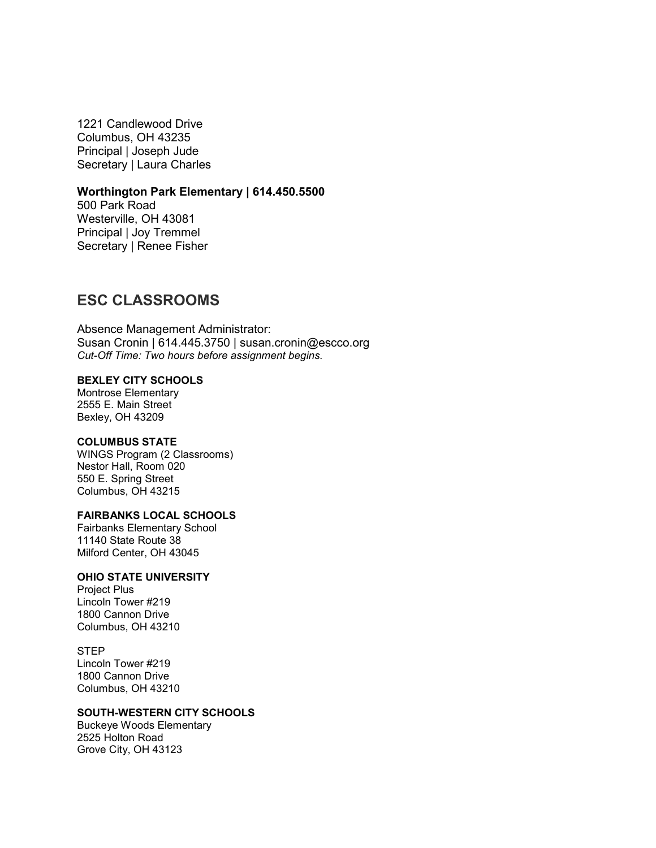1221 Candlewood Drive Columbus, OH 43235 Principal | Joseph Jude Secretary | Laura Charles

### **Worthington Park Elementary | 614.450.5500**

500 Park Road Westerville, OH 43081 Principal | Joy Tremmel Secretary | Renee Fisher

## **ESC CLASSROOMS**

Absence Management Administrator: Susan Cronin | 614.445.3750 | susan.cronin@escco.org *Cut-Off Time: Two hours before assignment begins.*

## **BEXLEY CITY SCHOOLS**

Montrose Elementary 2555 E. Main Street Bexley, OH 43209

#### **COLUMBUS STATE**

WINGS Program (2 Classrooms) Nestor Hall, Room 020 550 E. Spring Street Columbus, OH 43215

### **FAIRBANKS LOCAL SCHOOLS**

Fairbanks Elementary School 11140 State Route 38 Milford Center, OH 43045

### **OHIO STATE UNIVERSITY**

Project Plus Lincoln Tower #219 1800 Cannon Drive Columbus, OH 43210

STEP Lincoln Tower #219 1800 Cannon Drive Columbus, OH 43210

### **SOUTH-WESTERN CITY SCHOOLS**

Buckeye Woods Elementary 2525 Holton Road Grove City, OH 43123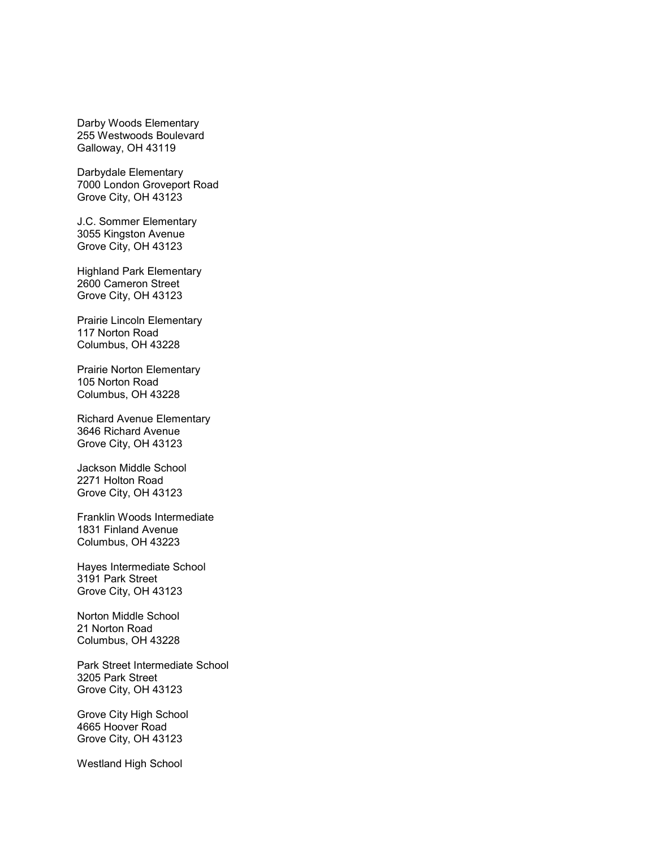Darby Woods Elementary 255 Westwoods Boulevard Galloway, OH 43119

Darbydale Elementary 7000 London Groveport Road Grove City, OH 43123

J.C. Sommer Elementary 3055 Kingston Avenue Grove City, OH 43123

Highland Park Elementary 2600 Cameron Street Grove City, OH 43123

Prairie Lincoln Elementary 117 Norton Road Columbus, OH 43228

Prairie Norton Elementary 105 Norton Road Columbus, OH 43228

Richard Avenue Elementary 3646 Richard Avenue Grove City, OH 43123

Jackson Middle School 2271 Holton Road Grove City, OH 43123

Franklin Woods Intermediate 1831 Finland Avenue Columbus, OH 43223

Hayes Intermediate School 3191 Park Street Grove City, OH 43123

Norton Middle School 21 Norton Road Columbus, OH 43228

Park Street Intermediate School 3205 Park Street Grove City, OH 43123

Grove City High School 4665 Hoover Road Grove City, OH 43123

Westland High School